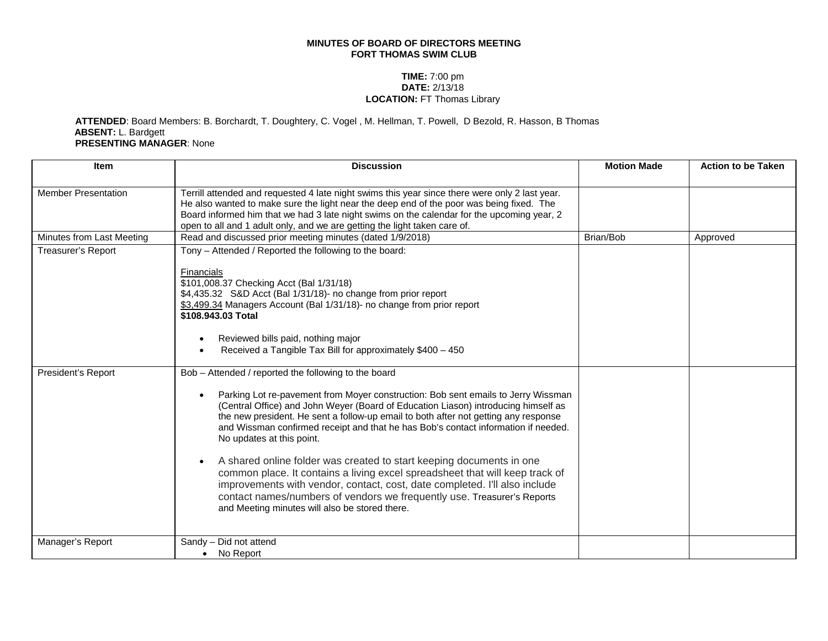## **MINUTES OF BOARD OF DIRECTORS MEETING FORT THOMAS SWIM CLUB**

## **TIME:** 7:00 pm **DATE:** 2/13/18 **LOCATION:** FT Thomas Library

## **ATTENDED**: Board Members: B. Borchardt, T. Doughtery, C. Vogel , M. Hellman, T. Powell, D Bezold, R. Hasson, B Thomas **ABSENT:** L. Bardgett **PRESENTING MANAGER**: None

| <b>Item</b>                | <b>Discussion</b>                                                                                                                                                                                                                                                                                                                                                                                                                                                                                                                                                                                                                                                                                                                                                                                            | <b>Motion Made</b> | <b>Action to be Taken</b> |
|----------------------------|--------------------------------------------------------------------------------------------------------------------------------------------------------------------------------------------------------------------------------------------------------------------------------------------------------------------------------------------------------------------------------------------------------------------------------------------------------------------------------------------------------------------------------------------------------------------------------------------------------------------------------------------------------------------------------------------------------------------------------------------------------------------------------------------------------------|--------------------|---------------------------|
| <b>Member Presentation</b> | Terrill attended and requested 4 late night swims this year since there were only 2 last year.<br>He also wanted to make sure the light near the deep end of the poor was being fixed. The<br>Board informed him that we had 3 late night swims on the calendar for the upcoming year, 2<br>open to all and 1 adult only, and we are getting the light taken care of.                                                                                                                                                                                                                                                                                                                                                                                                                                        |                    |                           |
| Minutes from Last Meeting  | Read and discussed prior meeting minutes (dated 1/9/2018)                                                                                                                                                                                                                                                                                                                                                                                                                                                                                                                                                                                                                                                                                                                                                    | Brian/Bob          | Approved                  |
| Treasurer's Report         | Tony - Attended / Reported the following to the board:<br>Financials<br>\$101,008.37 Checking Acct (Bal 1/31/18)<br>\$4,435.32 S&D Acct (Bal 1/31/18)- no change from prior report<br>\$3,499.34 Managers Account (Bal 1/31/18)- no change from prior report<br>\$108.943.03 Total<br>Reviewed bills paid, nothing major<br>Received a Tangible Tax Bill for approximately \$400 - 450                                                                                                                                                                                                                                                                                                                                                                                                                       |                    |                           |
|                            |                                                                                                                                                                                                                                                                                                                                                                                                                                                                                                                                                                                                                                                                                                                                                                                                              |                    |                           |
| President's Report         | Bob - Attended / reported the following to the board<br>Parking Lot re-pavement from Moyer construction: Bob sent emails to Jerry Wissman<br>(Central Office) and John Weyer (Board of Education Liason) introducing himself as<br>the new president. He sent a follow-up email to both after not getting any response<br>and Wissman confirmed receipt and that he has Bob's contact information if needed.<br>No updates at this point.<br>A shared online folder was created to start keeping documents in one<br>common place. It contains a living excel spreadsheet that will keep track of<br>improvements with vendor, contact, cost, date completed. I'll also include<br>contact names/numbers of vendors we frequently use. Treasurer's Reports<br>and Meeting minutes will also be stored there. |                    |                           |
| Manager's Report           | Sandy - Did not attend<br>No Report<br>$\bullet$                                                                                                                                                                                                                                                                                                                                                                                                                                                                                                                                                                                                                                                                                                                                                             |                    |                           |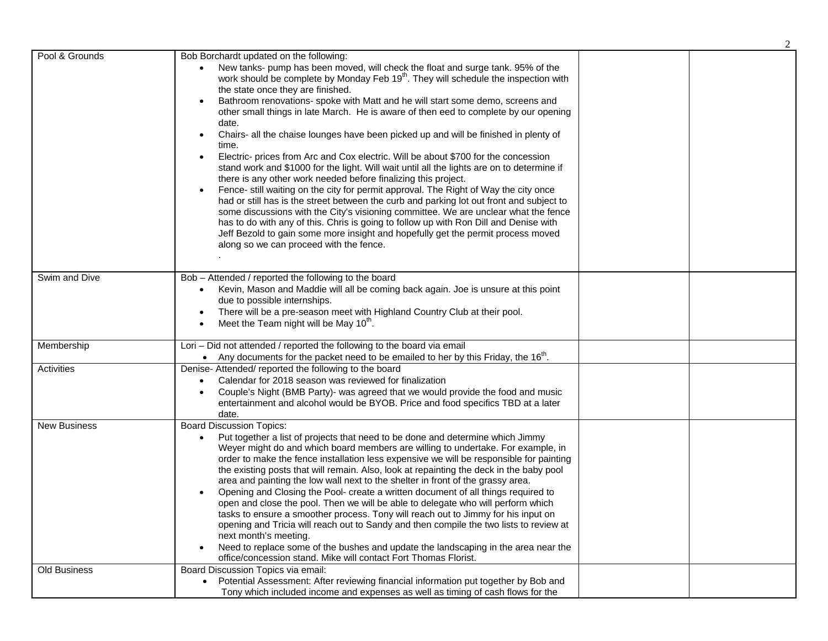| Pool & Grounds      | Bob Borchardt updated on the following:                                                                                                                                                                                                                                                                                                                                                                                                                                                         |  |
|---------------------|-------------------------------------------------------------------------------------------------------------------------------------------------------------------------------------------------------------------------------------------------------------------------------------------------------------------------------------------------------------------------------------------------------------------------------------------------------------------------------------------------|--|
|                     | New tanks- pump has been moved, will check the float and surge tank. 95% of the<br>work should be complete by Monday Feb 19 <sup>th</sup> . They will schedule the inspection with<br>the state once they are finished.                                                                                                                                                                                                                                                                         |  |
|                     | Bathroom renovations- spoke with Matt and he will start some demo, screens and<br>other small things in late March. He is aware of then eed to complete by our opening<br>date.                                                                                                                                                                                                                                                                                                                 |  |
|                     | Chairs- all the chaise lounges have been picked up and will be finished in plenty of<br>time.                                                                                                                                                                                                                                                                                                                                                                                                   |  |
|                     | Electric- prices from Arc and Cox electric. Will be about \$700 for the concession<br>stand work and \$1000 for the light. Will wait until all the lights are on to determine if<br>there is any other work needed before finalizing this project.                                                                                                                                                                                                                                              |  |
|                     | Fence- still waiting on the city for permit approval. The Right of Way the city once<br>had or still has is the street between the curb and parking lot out front and subject to<br>some discussions with the City's visioning committee. We are unclear what the fence<br>has to do with any of this. Chris is going to follow up with Ron Dill and Denise with<br>Jeff Bezold to gain some more insight and hopefully get the permit process moved<br>along so we can proceed with the fence. |  |
| Swim and Dive       | Bob - Attended / reported the following to the board                                                                                                                                                                                                                                                                                                                                                                                                                                            |  |
|                     | Kevin, Mason and Maddie will all be coming back again. Joe is unsure at this point<br>$\bullet$<br>due to possible internships.<br>There will be a pre-season meet with Highland Country Club at their pool.<br>Meet the Team night will be May 10 <sup>th</sup> .                                                                                                                                                                                                                              |  |
| Membership          | Lori - Did not attended / reported the following to the board via email<br>• Any documents for the packet need to be emailed to her by this Friday, the 16 <sup>th</sup> .                                                                                                                                                                                                                                                                                                                      |  |
| Activities          | Denise-Attended/reported the following to the board<br>Calendar for 2018 season was reviewed for finalization<br>Couple's Night (BMB Party)- was agreed that we would provide the food and music<br>entertainment and alcohol would be BYOB. Price and food specifics TBD at a later<br>date.                                                                                                                                                                                                   |  |
| <b>New Business</b> | <b>Board Discussion Topics:</b>                                                                                                                                                                                                                                                                                                                                                                                                                                                                 |  |
|                     | Put together a list of projects that need to be done and determine which Jimmy<br>Weyer might do and which board members are willing to undertake. For example, in<br>order to make the fence installation less expensive we will be responsible for painting<br>the existing posts that will remain. Also, look at repainting the deck in the baby pool<br>area and painting the low wall next to the shelter in front of the grassy area.                                                     |  |
|                     | Opening and Closing the Pool- create a written document of all things required to<br>open and close the pool. Then we will be able to delegate who will perform which<br>tasks to ensure a smoother process. Tony will reach out to Jimmy for his input on<br>opening and Tricia will reach out to Sandy and then compile the two lists to review at<br>next month's meeting.                                                                                                                   |  |
|                     | Need to replace some of the bushes and update the landscaping in the area near the<br>office/concession stand. Mike will contact Fort Thomas Florist.                                                                                                                                                                                                                                                                                                                                           |  |
| Old Business        | Board Discussion Topics via email:<br>• Potential Assessment: After reviewing financial information put together by Bob and<br>Tony which included income and expenses as well as timing of cash flows for the                                                                                                                                                                                                                                                                                  |  |